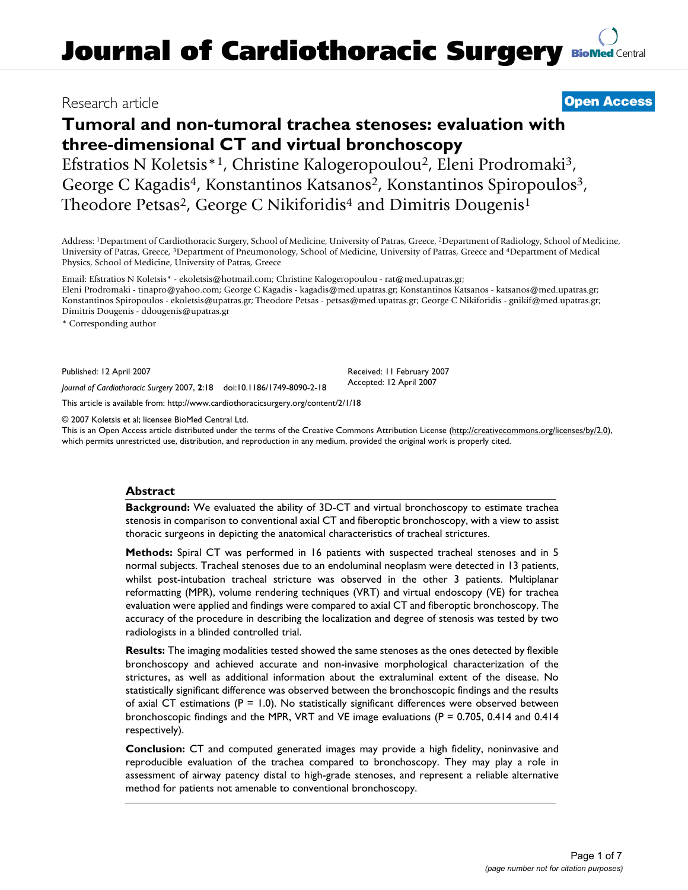# Research article **[Open Access](http://www.biomedcentral.com/info/about/charter/)**

# **Tumoral and non-tumoral trachea stenoses: evaluation with three-dimensional CT and virtual bronchoscopy**

Efstratios N Koletsis\*1, Christine Kalogeropoulou2, Eleni Prodromaki3, George C Kagadis<sup>4</sup>, Konstantinos Katsanos<sup>2</sup>, Konstantinos Spiropoulos<sup>3</sup>, Theodore Petsas<sup>2</sup>, George C Nikiforidis<sup>4</sup> and Dimitris Dougenis<sup>1</sup>

Address: 1Department of Cardiothoracic Surgery, School of Medicine, University of Patras, Greece, 2Department of Radiology, School of Medicine, University of Patras, Greece, 3Department of Pneumonology, School of Medicine, University of Patras, Greece and 4Department of Medical Physics, School of Medicine, University of Patras, Greece

Email: Efstratios N Koletsis\* - ekoletsis@hotmail.com; Christine Kalogeropoulou - rat@med.upatras.gr; Eleni Prodromaki - tinapro@yahoo.com; George C Kagadis - kagadis@med.upatras.gr; Konstantinos Katsanos - katsanos@med.upatras.gr; Konstantinos Spiropoulos - ekoletsis@upatras.gr; Theodore Petsas - petsas@med.upatras.gr; George C Nikiforidis - gnikif@med.upatras.gr; Dimitris Dougenis - ddougenis@upatras.gr

\* Corresponding author

Published: 12 April 2007

Received: 11 February 2007 Accepted: 12 April 2007

[This article is available from: http://www.cardiothoracicsurgery.org/content/2/1/18](http://www.cardiothoracicsurgery.org/content/2/1/18)

*Journal of Cardiothoracic Surgery* 2007, **2**:18 doi:10.1186/1749-8090-2-18

© 2007 Koletsis et al; licensee BioMed Central Ltd.

This is an Open Access article distributed under the terms of the Creative Commons Attribution License [\(http://creativecommons.org/licenses/by/2.0\)](http://creativecommons.org/licenses/by/2.0), which permits unrestricted use, distribution, and reproduction in any medium, provided the original work is properly cited.

#### **Abstract**

**Background:** We evaluated the ability of 3D-CT and virtual bronchoscopy to estimate trachea stenosis in comparison to conventional axial CT and fiberoptic bronchoscopy, with a view to assist thoracic surgeons in depicting the anatomical characteristics of tracheal strictures.

**Methods:** Spiral CT was performed in 16 patients with suspected tracheal stenoses and in 5 normal subjects. Tracheal stenoses due to an endoluminal neoplasm were detected in 13 patients, whilst post-intubation tracheal stricture was observed in the other 3 patients. Multiplanar reformatting (MPR), volume rendering techniques (VRT) and virtual endoscopy (VE) for trachea evaluation were applied and findings were compared to axial CT and fiberoptic bronchoscopy. The accuracy of the procedure in describing the localization and degree of stenosis was tested by two radiologists in a blinded controlled trial.

**Results:** The imaging modalities tested showed the same stenoses as the ones detected by flexible bronchoscopy and achieved accurate and non-invasive morphological characterization of the strictures, as well as additional information about the extraluminal extent of the disease. No statistically significant difference was observed between the bronchoscopic findings and the results of axial CT estimations ( $P = 1.0$ ). No statistically significant differences were observed between bronchoscopic findings and the MPR, VRT and VE image evaluations (P = 0.705, 0.414 and 0.414 respectively).

**Conclusion:** CT and computed generated images may provide a high fidelity, noninvasive and reproducible evaluation of the trachea compared to bronchoscopy. They may play a role in assessment of airway patency distal to high-grade stenoses, and represent a reliable alternative method for patients not amenable to conventional bronchoscopy.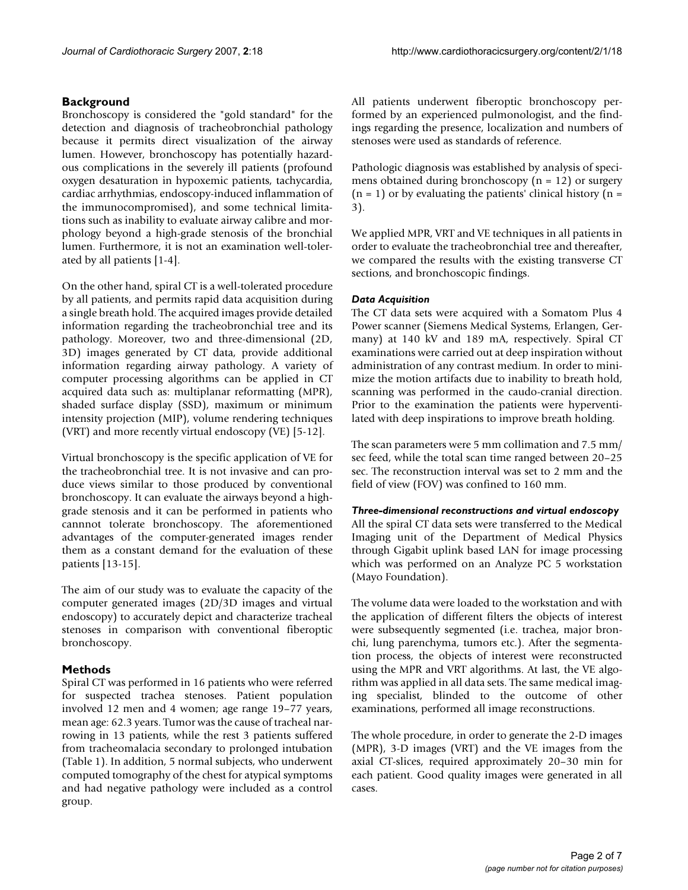# **Background**

Bronchoscopy is considered the "gold standard" for the detection and diagnosis of tracheobronchial pathology because it permits direct visualization of the airway lumen. However, bronchoscopy has potentially hazardous complications in the severely ill patients (profound oxygen desaturation in hypoxemic patients, tachycardia, cardiac arrhythmias, endoscopy-induced inflammation of the immunocompromised), and some technical limitations such as inability to evaluate airway calibre and morphology beyond a high-grade stenosis of the bronchial lumen. Furthermore, it is not an examination well-tolerated by all patients [1-4].

On the other hand, spiral CT is a well-tolerated procedure by all patients, and permits rapid data acquisition during a single breath hold. The acquired images provide detailed information regarding the tracheobronchial tree and its pathology. Moreover, two and three-dimensional (2D, 3D) images generated by CT data, provide additional information regarding airway pathology. A variety of computer processing algorithms can be applied in CT acquired data such as: multiplanar reformatting (MPR), shaded surface display (SSD), maximum or minimum intensity projection (MIP), volume rendering techniques (VRT) and more recently virtual endoscopy (VE) [5-12].

Virtual bronchoscopy is the specific application of VE for the tracheobronchial tree. It is not invasive and can produce views similar to those produced by conventional bronchoscopy. It can evaluate the airways beyond a highgrade stenosis and it can be performed in patients who cannnot tolerate bronchoscopy. The aforementioned advantages of the computer-generated images render them as a constant demand for the evaluation of these patients [13-15].

The aim of our study was to evaluate the capacity of the computer generated images (2D/3D images and virtual endoscopy) to accurately depict and characterize tracheal stenoses in comparison with conventional fiberoptic bronchoscopy.

# **Methods**

Spiral CT was performed in 16 patients who were referred for suspected trachea stenoses. Patient population involved 12 men and 4 women; age range 19–77 years, mean age: 62.3 years. Tumor was the cause of tracheal narrowing in 13 patients, while the rest 3 patients suffered from tracheomalacia secondary to prolonged intubation (Table 1). In addition, 5 normal subjects, who underwent computed tomography of the chest for atypical symptoms and had negative pathology were included as a control group.

All patients underwent fiberoptic bronchoscopy performed by an experienced pulmonologist, and the findings regarding the presence, localization and numbers of stenoses were used as standards of reference.

Pathologic diagnosis was established by analysis of specimens obtained during bronchoscopy (n = 12) or surgery  $(n = 1)$  or by evaluating the patients' clinical history  $(n = 1)$ 3).

We applied MPR, VRT and VE techniques in all patients in order to evaluate the tracheobronchial tree and thereafter, we compared the results with the existing transverse CT sections, and bronchoscopic findings.

# *Data Acquisition*

The CT data sets were acquired with a Somatom Plus 4 Power scanner (Siemens Medical Systems, Erlangen, Germany) at 140 kV and 189 mA, respectively. Spiral CT examinations were carried out at deep inspiration without administration of any contrast medium. In order to minimize the motion artifacts due to inability to breath hold, scanning was performed in the caudo-cranial direction. Prior to the examination the patients were hyperventilated with deep inspirations to improve breath holding.

The scan parameters were 5 mm collimation and 7.5 mm/ sec feed, while the total scan time ranged between 20–25 sec. The reconstruction interval was set to 2 mm and the field of view (FOV) was confined to 160 mm.

# *Three-dimensional reconstructions and virtual endoscopy*

All the spiral CT data sets were transferred to the Medical Imaging unit of the Department of Medical Physics through Gigabit uplink based LAN for image processing which was performed on an Analyze PC 5 workstation (Mayo Foundation).

The volume data were loaded to the workstation and with the application of different filters the objects of interest were subsequently segmented (i.e. trachea, major bronchi, lung parenchyma, tumors etc.). After the segmentation process, the objects of interest were reconstructed using the MPR and VRT algorithms. At last, the VE algorithm was applied in all data sets. The same medical imaging specialist, blinded to the outcome of other examinations, performed all image reconstructions.

The whole procedure, in order to generate the 2-D images (MPR), 3-D images (VRT) and the VE images from the axial CT-slices, required approximately 20–30 min for each patient. Good quality images were generated in all cases.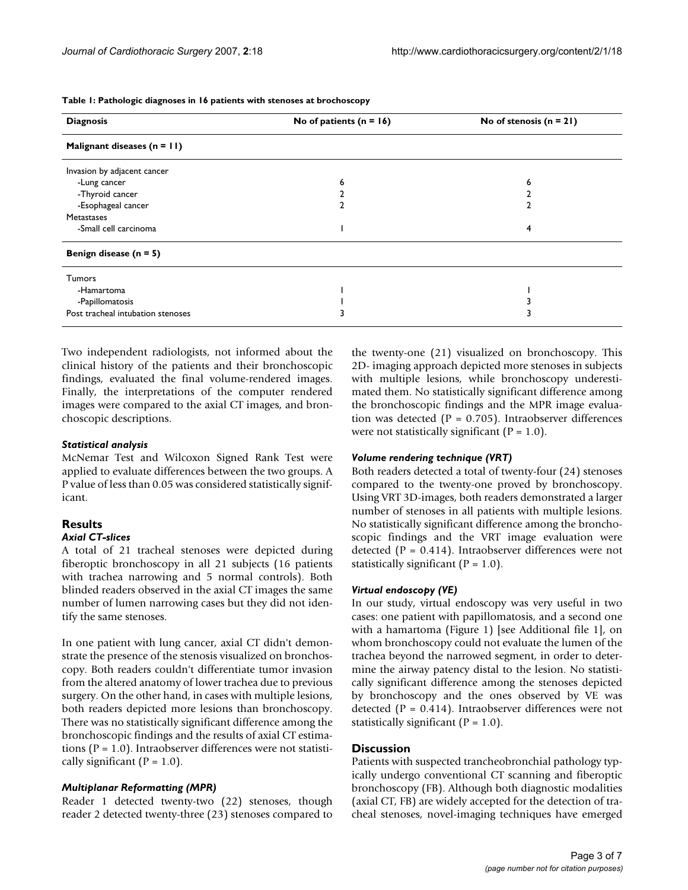| <b>Diagnosis</b>                  | No of patients $(n = 16)$ | No of stenosis $(n = 21)$ |
|-----------------------------------|---------------------------|---------------------------|
| Malignant diseases $(n = 11)$     |                           |                           |
| Invasion by adjacent cancer       |                           |                           |
| -Lung cancer                      | ь                         | ь                         |
| -Thyroid cancer                   |                           |                           |
| -Esophageal cancer                |                           |                           |
| <b>Metastases</b>                 |                           |                           |
| -Small cell carcinoma             |                           | 4                         |
| Benign disease $(n = 5)$          |                           |                           |
| <b>Tumors</b>                     |                           |                           |
| -Hamartoma                        |                           |                           |
| -Papillomatosis                   |                           |                           |
| Post tracheal intubation stenoses |                           |                           |

**Table 1: Pathologic diagnoses in 16 patients with stenoses at brochoscopy**

Two independent radiologists, not informed about the clinical history of the patients and their bronchoscopic findings, evaluated the final volume-rendered images. Finally, the interpretations of the computer rendered images were compared to the axial CT images, and bronchoscopic descriptions.

#### *Statistical analysis*

McNemar Test and Wilcoxon Signed Rank Test were applied to evaluate differences between the two groups. A P value of less than 0.05 was considered statistically significant.

# **Results**

### *Axial CT-slices*

A total of 21 tracheal stenoses were depicted during fiberoptic bronchoscopy in all 21 subjects (16 patients with trachea narrowing and 5 normal controls). Both blinded readers observed in the axial CT images the same number of lumen narrowing cases but they did not identify the same stenoses.

In one patient with lung cancer, axial CT didn't demonstrate the presence of the stenosis visualized on bronchoscopy. Both readers couldn't differentiate tumor invasion from the altered anatomy of lower trachea due to previous surgery. On the other hand, in cases with multiple lesions, both readers depicted more lesions than bronchoscopy. There was no statistically significant difference among the bronchoscopic findings and the results of axial CT estimations ( $P = 1.0$ ). Intraobserver differences were not statistically significant ( $P = 1.0$ ).

#### *Multiplanar Reformatting (MPR)*

Reader 1 detected twenty-two (22) stenoses, though reader 2 detected twenty-three (23) stenoses compared to

the twenty-one (21) visualized on bronchoscopy. This 2D- imaging approach depicted more stenoses in subjects with multiple lesions, while bronchoscopy underestimated them. No statistically significant difference among the bronchoscopic findings and the MPR image evaluation was detected ( $P = 0.705$ ). Intraobserver differences were not statistically significant  $(P = 1.0)$ .

#### *Volume rendering technique (VRT)*

Both readers detected a total of twenty-four (24) stenoses compared to the twenty-one proved by bronchoscopy. Using VRT 3D-images, both readers demonstrated a larger number of stenoses in all patients with multiple lesions. No statistically significant difference among the bronchoscopic findings and the VRT image evaluation were detected ( $P = 0.414$ ). Intraobserver differences were not statistically significant ( $P = 1.0$ ).

#### *Virtual endoscopy (VE)*

In our study, virtual endoscopy was very useful in two cases: one patient with papillomatosis, and a second one with a hamartoma (Figure 1) [see Additional file 1], on whom bronchoscopy could not evaluate the lumen of the trachea beyond the narrowed segment, in order to determine the airway patency distal to the lesion. No statistically significant difference among the stenoses depicted by bronchoscopy and the ones observed by VE was detected ( $P = 0.414$ ). Intraobserver differences were not statistically significant ( $P = 1.0$ ).

#### **Discussion**

Patients with suspected trancheobronchial pathology typically undergo conventional CT scanning and fiberoptic bronchoscopy (FB). Although both diagnostic modalities (axial CT, FB) are widely accepted for the detection of tracheal stenoses, novel-imaging techniques have emerged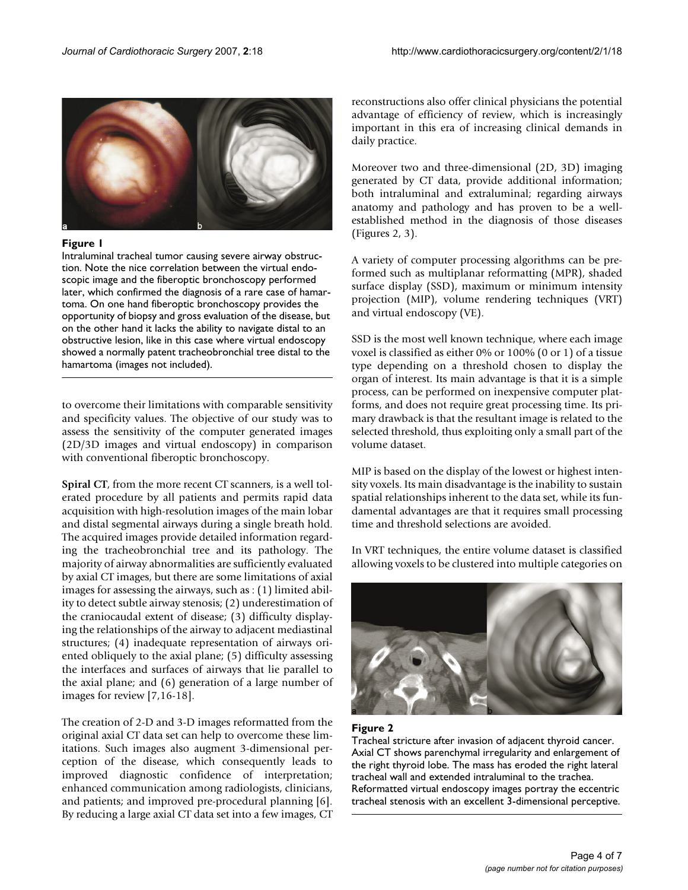

#### Figure 1

Intraluminal tracheal tumor causing severe airway obstruction. Note the nice correlation between the virtual endoscopic image and the fiberoptic bronchoscopy performed later, which confirmed the diagnosis of a rare case of hamartoma. On one hand fiberoptic bronchoscopy provides the opportunity of biopsy and gross evaluation of the disease, but on the other hand it lacks the ability to navigate distal to an obstructive lesion, like in this case where virtual endoscopy showed a normally patent tracheobronchial tree distal to the hamartoma (images not included).

to overcome their limitations with comparable sensitivity and specificity values. The objective of our study was to assess the sensitivity of the computer generated images (2D/3D images and virtual endoscopy) in comparison with conventional fiberoptic bronchoscopy.

**Spiral CT**, from the more recent CT scanners, is a well tolerated procedure by all patients and permits rapid data acquisition with high-resolution images of the main lobar and distal segmental airways during a single breath hold. The acquired images provide detailed information regarding the tracheobronchial tree and its pathology. The majority of airway abnormalities are sufficiently evaluated by axial CT images, but there are some limitations of axial images for assessing the airways, such as : (1) limited ability to detect subtle airway stenosis; (2) underestimation of the craniocaudal extent of disease; (3) difficulty displaying the relationships of the airway to adjacent mediastinal structures; (4) inadequate representation of airways oriented obliquely to the axial plane; (5) difficulty assessing the interfaces and surfaces of airways that lie parallel to the axial plane; and (6) generation of a large number of images for review [7,16-18].

The creation of 2-D and 3-D images reformatted from the original axial CT data set can help to overcome these limitations. Such images also augment 3-dimensional perception of the disease, which consequently leads to improved diagnostic confidence of interpretation; enhanced communication among radiologists, clinicians, and patients; and improved pre-procedural planning [6]. By reducing a large axial CT data set into a few images, CT reconstructions also offer clinical physicians the potential advantage of efficiency of review, which is increasingly important in this era of increasing clinical demands in daily practice.

Moreover two and three-dimensional (2D, 3D) imaging generated by CT data, provide additional information; both intraluminal and extraluminal; regarding airways anatomy and pathology and has proven to be a wellestablished method in the diagnosis of those diseases (Figures 2, 3).

A variety of computer processing algorithms can be preformed such as multiplanar reformatting (MPR), shaded surface display (SSD), maximum or minimum intensity projection (MIP), volume rendering techniques (VRT) and virtual endoscopy (VE).

SSD is the most well known technique, where each image voxel is classified as either 0% or 100% (0 or 1) of a tissue type depending on a threshold chosen to display the organ of interest. Its main advantage is that it is a simple process, can be performed on inexpensive computer platforms, and does not require great processing time. Its primary drawback is that the resultant image is related to the selected threshold, thus exploiting only a small part of the volume dataset.

MIP is based on the display of the lowest or highest intensity voxels. Its main disadvantage is the inability to sustain spatial relationships inherent to the data set, while its fundamental advantages are that it requires small processing time and threshold selections are avoided.

In VRT techniques, the entire volume dataset is classified allowing voxels to be clustered into multiple categories on



# Figure 2

Tracheal stricture after invasion of adjacent thyroid cancer. Axial CT shows parenchymal irregularity and enlargement of the right thyroid lobe. The mass has eroded the right lateral tracheal wall and extended intraluminal to the trachea. Reformatted virtual endoscopy images portray the eccentric tracheal stenosis with an excellent 3-dimensional perceptive.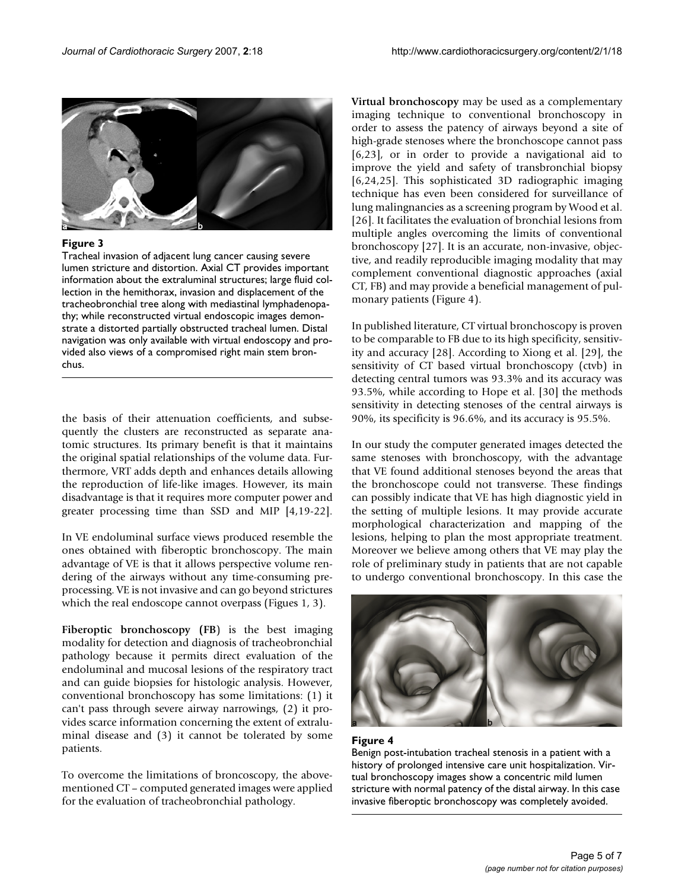

#### Figure 3

Tracheal invasion of adjacent lung cancer causing severe lumen stricture and distortion. Axial CT provides important information about the extraluminal structures; large fluid collection in the hemithorax, invasion and displacement of the tracheobronchial tree along with mediastinal lymphadenopathy; while reconstructed virtual endoscopic images demonstrate a distorted partially obstructed tracheal lumen. Distal navigation was only available with virtual endoscopy and provided also views of a compromised right main stem bronchus.

the basis of their attenuation coefficients, and subsequently the clusters are reconstructed as separate anatomic structures. Its primary benefit is that it maintains the original spatial relationships of the volume data. Furthermore, VRT adds depth and enhances details allowing the reproduction of life-like images. However, its main disadvantage is that it requires more computer power and greater processing time than SSD and MIP [4,19-22].

In VE endoluminal surface views produced resemble the ones obtained with fiberoptic bronchoscopy. The main advantage of VE is that it allows perspective volume rendering of the airways without any time-consuming preprocessing. VE is not invasive and can go beyond strictures which the real endoscope cannot overpass (Figues 1, 3).

**Fiberoptic bronchoscopy (FB**) is the best imaging modality for detection and diagnosis of tracheobronchial pathology because it permits direct evaluation of the endoluminal and mucosal lesions of the respiratory tract and can guide biopsies for histologic analysis. However, conventional bronchoscopy has some limitations: (1) it can't pass through severe airway narrowings, (2) it provides scarce information concerning the extent of extraluminal disease and (3) it cannot be tolerated by some patients.

To overcome the limitations of broncoscopy, the abovementioned CT – computed generated images were applied for the evaluation of tracheobronchial pathology.

**Virtual bronchoscopy** may be used as a complementary imaging technique to conventional bronchoscopy in order to assess the patency of airways beyond a site of high-grade stenoses where the bronchoscope cannot pass [6,23], or in order to provide a navigational aid to improve the yield and safety of transbronchial biopsy [6,24,25]. This sophisticated 3D radiographic imaging technique has even been considered for surveillance of lung malingnancies as a screening program by Wood et al. [26]. It facilitates the evaluation of bronchial lesions from multiple angles overcoming the limits of conventional bronchoscopy [27]. It is an accurate, non-invasive, objective, and readily reproducible imaging modality that may complement conventional diagnostic approaches (axial CT, FB) and may provide a beneficial management of pulmonary patients (Figure 4).

In published literature, CT virtual bronchoscopy is proven to be comparable to FB due to its high specificity, sensitivity and accuracy [28]. According to Xiong et al. [29], the sensitivity of CT based virtual bronchoscopy (ctvb) in detecting central tumors was 93.3% and its accuracy was 93.5%, while according to Hope et al. [30] the methods sensitivity in detecting stenoses of the central airways is 90%, its specificity is 96.6%, and its accuracy is 95.5%.

In our study the computer generated images detected the same stenoses with bronchoscopy, with the advantage that VE found additional stenoses beyond the areas that the bronchoscope could not transverse. These findings can possibly indicate that VE has high diagnostic yield in the setting of multiple lesions. It may provide accurate morphological characterization and mapping of the lesions, helping to plan the most appropriate treatment. Moreover we believe among others that VE may play the role of preliminary study in patients that are not capable to undergo conventional bronchoscopy. In this case the





Benign post-intubation tracheal stenosis in a patient with a history of prolonged intensive care unit hospitalization. Virtual bronchoscopy images show a concentric mild lumen stricture with normal patency of the distal airway. In this case invasive fiberoptic bronchoscopy was completely avoided.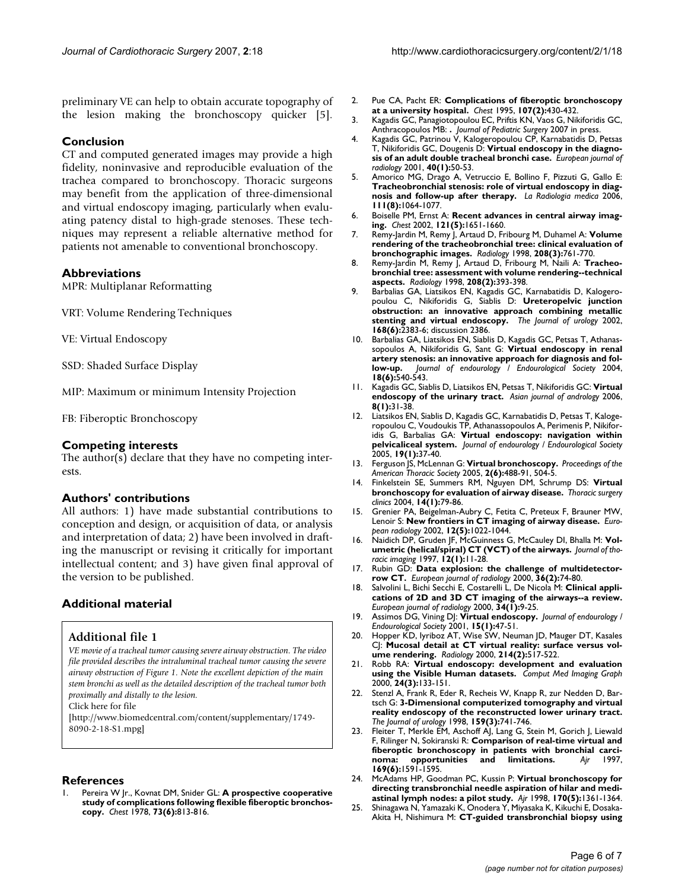preliminary VE can help to obtain accurate topography of the lesion making the bronchoscopy quicker [5].

### **Conclusion**

CT and computed generated images may provide a high fidelity, noninvasive and reproducible evaluation of the trachea compared to bronchoscopy. Thoracic surgeons may benefit from the application of three-dimensional and virtual endoscopy imaging, particularly when evaluating patency distal to high-grade stenoses. These techniques may represent a reliable alternative method for patients not amenable to conventional bronchoscopy.

#### **Abbreviations**

MPR: Multiplanar Reformatting

VRT: Volume Rendering Techniques

VE: Virtual Endoscopy

SSD: Shaded Surface Display

MIP: Maximum or minimum Intensity Projection

FB: Fiberoptic Bronchoscopy

#### **Competing interests**

The author(s) declare that they have no competing interests.

#### **Authors' contributions**

All authors: 1) have made substantial contributions to conception and design, or acquisition of data, or analysis and interpretation of data; 2) have been involved in drafting the manuscript or revising it critically for important intellectual content; and 3) have given final approval of the version to be published.

# **Additional material**

# **Additional file 1**

*VE movie of a tracheal tumor causing severe airway obstruction. The video file provided describes the intraluminal tracheal tumor causing the severe airway obstruction of Figure 1. Note the excellent depiction of the main stem bronchi as well as the detailed description of the tracheal tumor both proximally and distally to the lesion.*

Click here for file

[\[http://www.biomedcentral.com/content/supplementary/1749-](http://www.biomedcentral.com/content/supplementary/1749-8090-2-18-S1.mpg) 8090-2-18-S1.mpg]

#### **References**

Pereira W Jr., Kovnat DM, Snider GL: [A prospective cooperative](http://www.ncbi.nlm.nih.gov/entrez/query.fcgi?cmd=Retrieve&db=PubMed&dopt=Abstract&list_uids=657853) **[study of complications following flexible fiberoptic bronchos](http://www.ncbi.nlm.nih.gov/entrez/query.fcgi?cmd=Retrieve&db=PubMed&dopt=Abstract&list_uids=657853)[copy.](http://www.ncbi.nlm.nih.gov/entrez/query.fcgi?cmd=Retrieve&db=PubMed&dopt=Abstract&list_uids=657853)** *Chest* 1978, **73(6):**813-816.

- 2. Pue CA, Pacht ER: **[Complications of fiberoptic bronchoscopy](http://www.ncbi.nlm.nih.gov/entrez/query.fcgi?cmd=Retrieve&db=PubMed&dopt=Abstract&list_uids=7842773) [at a university hospital.](http://www.ncbi.nlm.nih.gov/entrez/query.fcgi?cmd=Retrieve&db=PubMed&dopt=Abstract&list_uids=7842773)** *Chest* 1995, **107(2):**430-432.
- 3. Kagadis GC, Panagiotopoulou EC, Priftis KN, Vaos G, Nikiforidis GC, Anthracopoulos MB: **.** *Journal of Pediatric Surgery* 2007 in press.
- 4. Kagadis GC, Patrinou V, Kalogeropoulou CP, Karnabatidis D, Petsas T, Nikiforidis GC, Dougenis D: **[Virtual endoscopy in the diagno](http://www.ncbi.nlm.nih.gov/entrez/query.fcgi?cmd=Retrieve&db=PubMed&dopt=Abstract&list_uids=11673008)[sis of an adult double tracheal bronchi case.](http://www.ncbi.nlm.nih.gov/entrez/query.fcgi?cmd=Retrieve&db=PubMed&dopt=Abstract&list_uids=11673008)** *European journal of radiology* 2001, **40(1):**50-53.
- 5. Amorico MG, Drago A, Vetruccio E, Bollino F, Pizzuti G, Gallo E: **[Tracheobronchial stenosis: role of virtual endoscopy in diag](http://www.ncbi.nlm.nih.gov/entrez/query.fcgi?cmd=Retrieve&db=PubMed&dopt=Abstract&list_uids=17171527)[nosis and follow-up after therapy.](http://www.ncbi.nlm.nih.gov/entrez/query.fcgi?cmd=Retrieve&db=PubMed&dopt=Abstract&list_uids=17171527)** *La Radiologia medica* 2006, **111(8):**1064-1077.
- 6. Boiselle PM, Ernst A: **[Recent advances in central airway imag](http://www.ncbi.nlm.nih.gov/entrez/query.fcgi?cmd=Retrieve&db=PubMed&dopt=Abstract&list_uids=12006457)[ing.](http://www.ncbi.nlm.nih.gov/entrez/query.fcgi?cmd=Retrieve&db=PubMed&dopt=Abstract&list_uids=12006457)** *Chest* 2002, **121(5):**1651-1660.
- 7. Remy-Jardin M, Remy J, Artaud D, Fribourg M, Duhamel A: **[Volume](http://www.ncbi.nlm.nih.gov/entrez/query.fcgi?cmd=Retrieve&db=PubMed&dopt=Abstract&list_uids=9722857) [rendering of the tracheobronchial tree: clinical evaluation of](http://www.ncbi.nlm.nih.gov/entrez/query.fcgi?cmd=Retrieve&db=PubMed&dopt=Abstract&list_uids=9722857) [bronchographic images.](http://www.ncbi.nlm.nih.gov/entrez/query.fcgi?cmd=Retrieve&db=PubMed&dopt=Abstract&list_uids=9722857)** *Radiology* 1998, **208(3):**761-770.
- 8. Remy-Jardin M, Remy J, Artaud D, Fribourg M, Naili A: **[Tracheo](http://www.ncbi.nlm.nih.gov/entrez/query.fcgi?cmd=Retrieve&db=PubMed&dopt=Abstract&list_uids=9680565)[bronchial tree: assessment with volume rendering--technical](http://www.ncbi.nlm.nih.gov/entrez/query.fcgi?cmd=Retrieve&db=PubMed&dopt=Abstract&list_uids=9680565) [aspects.](http://www.ncbi.nlm.nih.gov/entrez/query.fcgi?cmd=Retrieve&db=PubMed&dopt=Abstract&list_uids=9680565)** *Radiology* 1998, **208(2):**393-398.
- 9. Barbalias GA, Liatsikos EN, Kagadis GC, Karnabatidis D, Kalogeropoulou C, Nikiforidis G, Siablis D: **[Ureteropelvic junction](http://www.ncbi.nlm.nih.gov/entrez/query.fcgi?cmd=Retrieve&db=PubMed&dopt=Abstract&list_uids=12441922) [obstruction: an innovative approach combining metallic](http://www.ncbi.nlm.nih.gov/entrez/query.fcgi?cmd=Retrieve&db=PubMed&dopt=Abstract&list_uids=12441922) [stenting and virtual endoscopy.](http://www.ncbi.nlm.nih.gov/entrez/query.fcgi?cmd=Retrieve&db=PubMed&dopt=Abstract&list_uids=12441922)** *The Journal of urology* 2002, **168(6):**2383-6; discussion 2386.
- 10. Barbalias GA, Liatsikos EN, Siablis D, Kagadis GC, Petsas T, Athanassopoulos A, Nikiforidis G, Sant G: **[Virtual endoscopy in renal](http://www.ncbi.nlm.nih.gov/entrez/query.fcgi?cmd=Retrieve&db=PubMed&dopt=Abstract&list_uids=15333217)** artery stenosis: an innovative approach for diagnosis and follow-up. *lournal of endourology / Endourological Society* 2004, **[low-up.](http://www.ncbi.nlm.nih.gov/entrez/query.fcgi?cmd=Retrieve&db=PubMed&dopt=Abstract&list_uids=15333217)** *Journal of endourology / Endourological Society* 2004, **18(6):**540-543.
- 11. Kagadis GC, Siablis D, Liatsikos EN, Petsas T, Nikiforidis GC: **[Virtual](http://www.ncbi.nlm.nih.gov/entrez/query.fcgi?cmd=Retrieve&db=PubMed&dopt=Abstract&list_uids=16372116) [endoscopy of the urinary tract.](http://www.ncbi.nlm.nih.gov/entrez/query.fcgi?cmd=Retrieve&db=PubMed&dopt=Abstract&list_uids=16372116)** *Asian journal of andrology* 2006, **8(1):**31-38.
- 12. Liatsikos EN, Siablis D, Kagadis GC, Karnabatidis D, Petsas T, Kalogeropoulou C, Voudoukis TP, Athanassopoulos A, Perimenis P, Nikiforidis G, Barbalias GA: **[Virtual endoscopy: navigation within](http://www.ncbi.nlm.nih.gov/entrez/query.fcgi?cmd=Retrieve&db=PubMed&dopt=Abstract&list_uids=15735380) [pelvicaliceal system.](http://www.ncbi.nlm.nih.gov/entrez/query.fcgi?cmd=Retrieve&db=PubMed&dopt=Abstract&list_uids=15735380)** *Journal of endourology / Endourological Society* 2005, **19(1):**37-40.
- 13. Ferguson JS, McLennan G: **[Virtual bronchoscopy.](http://www.ncbi.nlm.nih.gov/entrez/query.fcgi?cmd=Retrieve&db=PubMed&dopt=Abstract&list_uids=16352754)** *Proceedings of the American Thoracic Society* 2005, **2(6):**488-91, 504-5.
- 14. Finkelstein SE, Summers RM, Nguyen DM, Schrump DS: **[Virtual](http://www.ncbi.nlm.nih.gov/entrez/query.fcgi?cmd=Retrieve&db=PubMed&dopt=Abstract&list_uids=15382311) [bronchoscopy for evaluation of airway disease.](http://www.ncbi.nlm.nih.gov/entrez/query.fcgi?cmd=Retrieve&db=PubMed&dopt=Abstract&list_uids=15382311)** *Thoracic surgery clinics* 2004, **14(1):**79-86.
- 15. Grenier PA, Beigelman-Aubry C, Fetita C, Preteux F, Brauner MW, Lenoir S: **[New frontiers in CT imaging of airway disease.](http://www.ncbi.nlm.nih.gov/entrez/query.fcgi?cmd=Retrieve&db=PubMed&dopt=Abstract&list_uids=11976844)** *European radiology* 2002, **12(5):**1022-1044.
- 16. Naidich DP, Gruden JF, McGuinness G, McCauley DI, Bhalla M: **[Vol](http://www.ncbi.nlm.nih.gov/entrez/query.fcgi?cmd=Retrieve&db=PubMed&dopt=Abstract&list_uids=8989755)[umetric \(helical/spiral\) CT \(VCT\) of the airways.](http://www.ncbi.nlm.nih.gov/entrez/query.fcgi?cmd=Retrieve&db=PubMed&dopt=Abstract&list_uids=8989755)** *Journal of thoracic imaging* 1997, **12(1):**11-28.
- 17. Rubin GD: **[Data explosion: the challenge of multidetector](http://www.ncbi.nlm.nih.gov/entrez/query.fcgi?cmd=Retrieve&db=PubMed&dopt=Abstract&list_uids=11116170)[row CT.](http://www.ncbi.nlm.nih.gov/entrez/query.fcgi?cmd=Retrieve&db=PubMed&dopt=Abstract&list_uids=11116170)** *European journal of radiology* 2000, **36(2):**74-80.
- 18. Salvolini L, Bichi Secchi E, Costarelli L, De Nicola M: **[Clinical appli](http://www.ncbi.nlm.nih.gov/entrez/query.fcgi?cmd=Retrieve&db=PubMed&dopt=Abstract&list_uids=10802203)[cations of 2D and 3D CT imaging of the airways--a review.](http://www.ncbi.nlm.nih.gov/entrez/query.fcgi?cmd=Retrieve&db=PubMed&dopt=Abstract&list_uids=10802203)** *European journal of radiology* 2000, **34(1):**9-25.
- 19. Assimos DG, Vining DJ: **[Virtual endoscopy.](http://www.ncbi.nlm.nih.gov/entrez/query.fcgi?cmd=Retrieve&db=PubMed&dopt=Abstract&list_uids=11248919)** *Journal of endourology / Endourological Society* 2001, **15(1):**47-51.
- 20. Hopper KD, Iyriboz AT, Wise SW, Neuman JD, Mauger DT, Kasales CJ: **[Mucosal detail at CT virtual reality: surface versus vol](http://www.ncbi.nlm.nih.gov/entrez/query.fcgi?cmd=Retrieve&db=PubMed&dopt=Abstract&list_uids=10671603)[ume rendering.](http://www.ncbi.nlm.nih.gov/entrez/query.fcgi?cmd=Retrieve&db=PubMed&dopt=Abstract&list_uids=10671603)** *Radiology* 2000, **214(2):**517-522.
- 21. Robb RA: **[Virtual endoscopy: development and evaluation](http://www.ncbi.nlm.nih.gov/entrez/query.fcgi?cmd=Retrieve&db=PubMed&dopt=Abstract&list_uids=10838008) [using the Visible Human datasets.](http://www.ncbi.nlm.nih.gov/entrez/query.fcgi?cmd=Retrieve&db=PubMed&dopt=Abstract&list_uids=10838008)** *Comput Med Imaging Graph* 2000, **24(3):**133-151.
- 22. Stenzl A, Frank R, Eder R, Recheis W, Knapp R, zur Nedden D, Bartsch G: **[3-Dimensional computerized tomography and virtual](http://www.ncbi.nlm.nih.gov/entrez/query.fcgi?cmd=Retrieve&db=PubMed&dopt=Abstract&list_uids=9474138) [reality endoscopy of the reconstructed lower urinary tract.](http://www.ncbi.nlm.nih.gov/entrez/query.fcgi?cmd=Retrieve&db=PubMed&dopt=Abstract&list_uids=9474138)** *The Journal of urology* 1998, **159(3):**741-746.
- 23. Fleiter T, Merkle EM, Aschoff AJ, Lang G, Stein M, Gorich J, Liewald F, Rilinger N, Sokiranski R: **[Comparison of real-time virtual and](http://www.ncbi.nlm.nih.gov/entrez/query.fcgi?cmd=Retrieve&db=PubMed&dopt=Abstract&list_uids=9393172)** fiberoptic bronchoscopy in patients with bronchial carci-<br>noma: opportunities and limitations. Air 1997. **[noma: opportunities and limitations.](http://www.ncbi.nlm.nih.gov/entrez/query.fcgi?cmd=Retrieve&db=PubMed&dopt=Abstract&list_uids=9393172)** *Ajr* 1997, **169(6):**1591-1595.
- 24. McAdams HP, Goodman PC, Kussin P: **[Virtual bronchoscopy for](http://www.ncbi.nlm.nih.gov/entrez/query.fcgi?cmd=Retrieve&db=PubMed&dopt=Abstract&list_uids=9574616) [directing transbronchial needle aspiration of hilar and medi](http://www.ncbi.nlm.nih.gov/entrez/query.fcgi?cmd=Retrieve&db=PubMed&dopt=Abstract&list_uids=9574616)[astinal lymph nodes: a pilot study.](http://www.ncbi.nlm.nih.gov/entrez/query.fcgi?cmd=Retrieve&db=PubMed&dopt=Abstract&list_uids=9574616)** *Ajr* 1998, **170(5):**1361-1364.
- 25. Shinagawa N, Yamazaki K, Onodera Y, Miyasaka K, Kikuchi E, Dosaka-Akita H, Nishimura M: **[CT-guided transbronchial biopsy using](http://www.ncbi.nlm.nih.gov/entrez/query.fcgi?cmd=Retrieve&db=PubMed&dopt=Abstract&list_uids=15006979)**